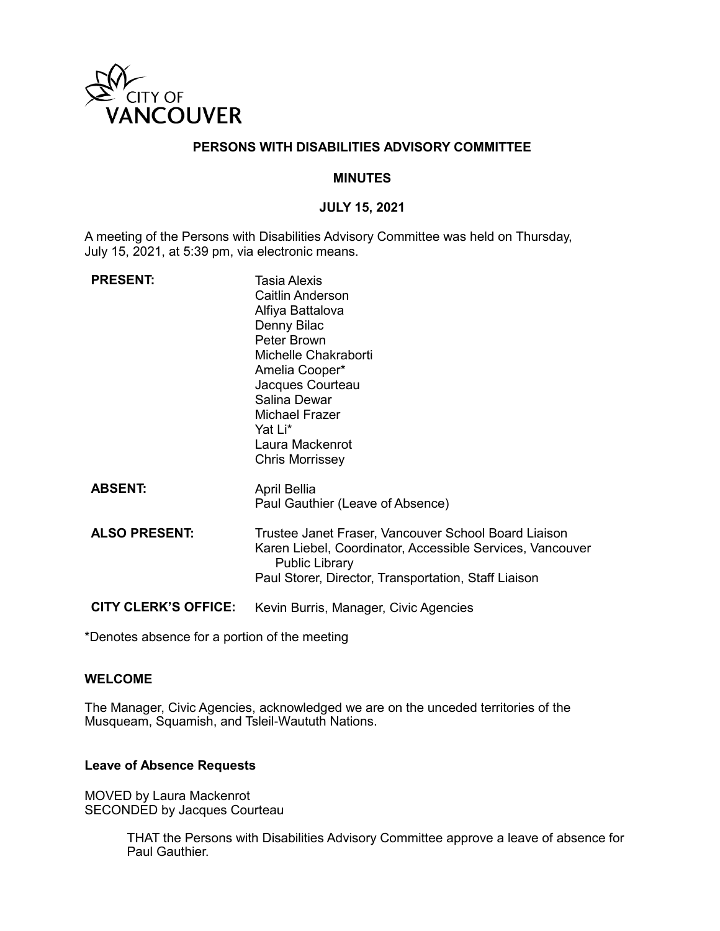

## **PERSONS WITH DISABILITIES ADVISORY COMMITTEE**

#### **MINUTES**

#### **JULY 15, 2021**

A meeting of the Persons with Disabilities Advisory Committee was held on Thursday, July 15, 2021, at 5:39 pm, via electronic means.

| <b>PRESENT:</b>             | Tasia Alexis<br>Caitlin Anderson<br>Alfiya Battalova<br>Denny Bilac<br>Peter Brown<br>Michelle Chakraborti<br>Amelia Cooper*<br>Jacques Courteau<br>Salina Dewar<br>Michael Frazer<br>Yat Li*<br>Laura Mackenrot<br><b>Chris Morrissey</b> |
|-----------------------------|--------------------------------------------------------------------------------------------------------------------------------------------------------------------------------------------------------------------------------------------|
| <b>ABSENT:</b>              | April Bellia<br>Paul Gauthier (Leave of Absence)                                                                                                                                                                                           |
| <b>ALSO PRESENT:</b>        | Trustee Janet Fraser, Vancouver School Board Liaison<br>Karen Liebel, Coordinator, Accessible Services, Vancouver<br><b>Public Library</b><br>Paul Storer, Director, Transportation, Staff Liaison                                         |
| <b>CITY CLERK'S OFFICE:</b> | Kevin Burris, Manager, Civic Agencies                                                                                                                                                                                                      |

\*Denotes absence for a portion of the meeting

## **WELCOME**

The Manager, Civic Agencies, acknowledged we are on the unceded territories of the Musqueam, Squamish, and Tsleil-Waututh Nations.

#### **Leave of Absence Requests**

MOVED by Laura Mackenrot SECONDED by Jacques Courteau

> THAT the Persons with Disabilities Advisory Committee approve a leave of absence for Paul Gauthier.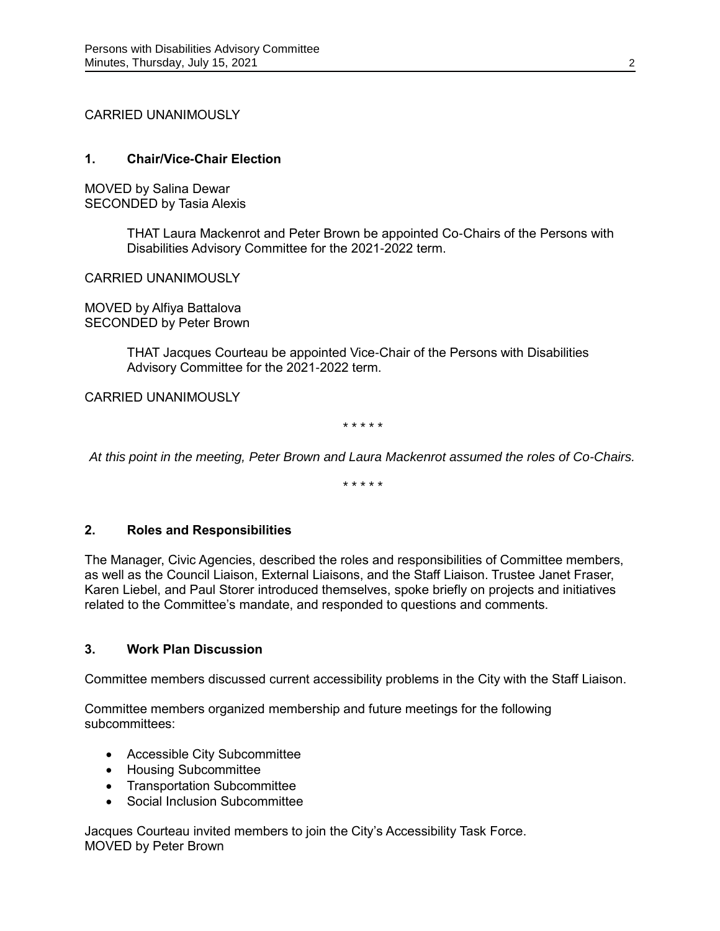CARRIED UNANIMOUSLY

## **1. Chair/Vice-Chair Election**

MOVED by Salina Dewar SECONDED by Tasia Alexis

> THAT Laura Mackenrot and Peter Brown be appointed Co-Chairs of the Persons with Disabilities Advisory Committee for the 2021-2022 term.

CARRIED UNANIMOUSLY

MOVED by Alfiya Battalova SECONDED by Peter Brown

> THAT Jacques Courteau be appointed Vice-Chair of the Persons with Disabilities Advisory Committee for the 2021-2022 term.

CARRIED UNANIMOUSLY

*\* \* \* \* \**

*At this point in the meeting, Peter Brown and Laura Mackenrot assumed the roles of Co-Chairs.*

*\* \* \* \* \**

#### **2. Roles and Responsibilities**

The Manager, Civic Agencies, described the roles and responsibilities of Committee members, as well as the Council Liaison, External Liaisons, and the Staff Liaison. Trustee Janet Fraser, Karen Liebel, and Paul Storer introduced themselves, spoke briefly on projects and initiatives related to the Committee's mandate, and responded to questions and comments.

## **3. Work Plan Discussion**

Committee members discussed current accessibility problems in the City with the Staff Liaison.

Committee members organized membership and future meetings for the following subcommittees:

- Accessible City Subcommittee
- Housing Subcommittee
- Transportation Subcommittee
- Social Inclusion Subcommittee

Jacques Courteau invited members to join the City's Accessibility Task Force. MOVED by Peter Brown